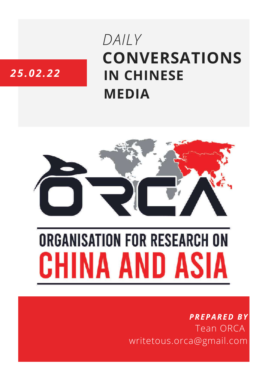# DAILY **CONVERSATIONS IN CHINESE MEDIA**



# **ORGANISATION FOR RESEARCH ON** HINA AND ASIA

### **PREPARED BY Tean ORCA** writetous.orca@gmail.com

## 25.02.22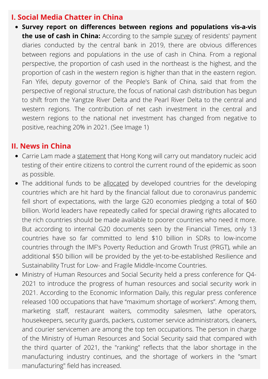#### **I. Social Media Chatter in China**

**Survey report on differences between regions and populations vis-a-vis the use of cash in China:** According to the sample [survey](https://weibo.com/1657987915/LgFQyzhrM?pagetype=groupfeed) of residents' payment diaries conducted by the central bank in 2019, there are obvious differences between regions and populations in the use of cash in China. From a regional perspective, the proportion of cash used in the northeast is the highest, and the proportion of cash in the western region is higher than that in the eastern region. Fan Yifei, deputy governor of the People's Bank of China, said that from the perspective of regional structure, the focus of national cash distribution has begun to shift from the Yangtze River Delta and the Pearl River Delta to the central and western regions. The contribution of net cash investment in the central and western regions to the national net investment has changed from negative to positive, reaching 20% in 2021. (See Image 1)

#### **II. News in China**

- Carrie Lam made a [statement](https://weibo.com/1240246333/LgFNoEzln?pagetype=groupfeed) that Hong Kong will carry out mandatory nucleic acid testing of their entire citizens to control the current round of the epidemic as soon as possible.
- The additional funds to be [allocated](https://weibo.com/1698233740/LgFuFFfGZ?pagetype=groupfeed) by developed countries for the developing countries which are hit hard by the financial fallout due to coronavirus pandemic fell short of expectations, with the large G20 economies pledging a total of \$60 billion. World leaders have repeatedly called for special drawing rights allocated to the rich countries should be made available to poorer countries who need it more. But according to internal G20 documents seen by the Financial Times, only 13 countries have so far committed to lend \$10 billion in SDRs to low-income countries through the IMF's Poverty Reduction and Growth Trust (PRGT), while an additional \$50 billion will be provided by the yet-to-be-established Resilience and Sustainability Trust for Low- and Fragile Middle-Income Countries.
- Ministry of Human Resources and Social Security held a press conference for Q4- 2021 to introduce the progress of human resources and social security work in 2021. According to the Economic Information Daily, this regular press conference released 100 occupations that have "maximum shortage of workers". Among them, marketing staff, restaurant waiters, commodity salesmen, lathe operators, housekeepers, security guards, packers, customer service administrators, cleaners, and courier servicemen are among the top ten occupations. The person in charge of the Ministry of Human Resources and Social Security said that compared with the third quarter of 2021, the "ranking" reflects that the labor shortage in the manufacturing industry continues, and the shortage of workers in the "smart manufacturing" field has increased.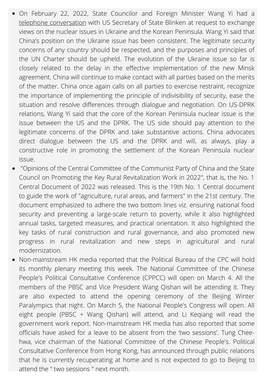- On February 22, 2022, State Councilor and Foreign Minister Wang Yi had a telephone [conversation](https://content-static.cctvnews.cctv.com/snow-book/index.html?item_id=5098173030237021498&t=1645510008588&toc_style_id=feeds_default&share_to=qq&track_id=6d6b5f83-abc4-4220-9177-cc7df7c9bd05) with US Secretary of State Blinken at request to exchange views on the nuclear issues in Ukraine and the Korean Peninsula. Wang Yi said that China's position on the Ukraine issue has been consistent. The legitimate security concerns of any country should be respected, and the purposes and principles of the UN Charter should be upheld. The evolution of the Ukraine issue so far is closely related to the delay in the effective implementation of the new Minsk agreement. China will continue to make contact with all parties based on the merits of the matter. China once again calls on all parties to exercise restraint, recognize the importance of implementing the principle of indivisibility of security, ease the situation and resolve differences through dialogue and negotiation. On US-DPRK relations, Wang Yi said that the core of the Korean Peninsula nuclear issue is the issue between the US and the DPRK. The US side should pay attention to the legitimate concerns of the DPRK and take substantive actions. China advocates direct dialogue between the US and the DPRK and will, as always, play a constructive role in promoting the settlement of the Korean Peninsula nuclear issue.
- "Opinions of the Central Committee of the Communist Party of China and the State Council on Promoting the Key Rural Revitalization Work in 2022", that is, the No. 1 Central Document of 2022 was released. This is the 19th No. 1 Central document to guide the work of "agriculture, rural areas, and farmers" in the 21st century. The document emphasized to adhere the two bottom lines viz. ensuring national food security and preventing a large-scale return to poverty, while it also highlighted annual tasks, targeted measures, and practical orientation. It also highlighted the key tasks of rural construction and rural governance, and also promoted new progress in rural revitalization and new steps in agricultural and rural modernization.
- Non-mainstream HK media reported that the Political Bureau of the CPC will hold its monthly plenary meeting this week. The National Committee of the Chinese People's Political Consultative Conference (CPPCC) will open on March 4. All the members of the PBSC and Vice President Wang Qishan will be attending it. They are also expected to attend the opening ceremony of the Beijing Winter Paralympics that night. On March 5, the National People's Congress will open. All eight people (PBSC + Wang Qishan) will attend, and Li Keqiang will read the government work report. Non-mainstream HK media has also reported that some officials have asked for a leave to be absent from the 'two sessions'. Tung Cheehwa, vice chairman of the National Committee of the Chinese People's. Political Consultative Conference from Hong Kong, has announced through public relations that he is currently recuperating at home and is not expected to go to Beijing to attend the " two sessions " next month.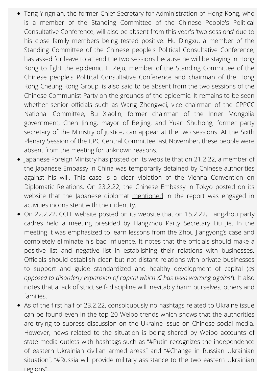- Tang Yingnian, the former Chief Secretary for Administration of Hong Kong, who is a member of the Standing Committee of the Chinese People's Political Consultative Conference, will also be absent from this year's 'two sessions' due to his close family members being tested positive. Hu Dingxu, a member of the Standing Committee of the Chinese people's Political Consultative Conference, has asked for leave to attend the two sessions because he will be staying in Hong Kong to fight the epidemic. Li Zeju, member of the Standing Committee of the Chinese people's Political Consultative Conference and chairman of the Hong Kong Cheung Kong Group, is also said to be absent from the two sessions of the Chinese Communist Party on the grounds of the epidemic. It remains to be seen whether senior officials such as Wang Zhengwei, vice chairman of the CPPCC National Committee, Bu Xiaolin, former chairman of the Inner Mongolia government, Chen Jining, mayor of Beijing, and Yuan Shuhong, former party secretary of the Ministry of justice, can appear at the two sessions. At the Sixth Plenary Session of the CPC Central Committee last November, these people were absent from the meeting for unknown reasons.
- Japanese Foreign Ministry has [posted](https://www.mofa.go.jp/mofaj/press/release/press1_000733.html) on its website that on 21.2.22, a member of the Japanese Embassy in China was temporarily detained by Chinese authorities against his will. This case is a clear violation of the Vienna Convention on Diplomatic Relations. On 23.2.22, the Chinese Embassy in Tokyo posted on its website that the Japanese diplomat [mentioned](http://www.china-embassy.or.jp/chn/sgkxnew/202202/t20220223_10644587.htm) in the report was engaged in activities inconsistent with their identity.
- On 22.2.22, CCDI website posted on its website that on 15.2.22, Hangzhou party cadres held a meeting presided by Hangzhou Party Secretary Liu Jie. In the meeting it was emphasized to learn lessons from the Zhou Jiangyong's case and completely eliminate his bad influence. It notes that the officials should make a positive list and negative list in establishing their relations with businesses. Officials should establish clean but not distant relations with private businesses to support and guide standardized and healthy development of capital (*as opposed to disorderly expansion of capital which Xi has been warning against*). It also notes that a lack of strict self- discipline will inevitably harm ourselves, others and families.
- As of the first half of 23.2.22, conspicuously no hashtags related to Ukraine issue can be found even in the top 20 Weibo trends which shows that the authorities are trying to supress discussion on the Ukraine issue on Chinese social media. However, news related to the situation is being shared by Weibo accounts of state media outlets with hashtags such as "#Putin recognizes the independence of eastern Ukrainian civilian armed areas" and "#Change in Russian Ukrainian situation", "#Russia will provide military assistance to the two eastern Ukrainian regions".